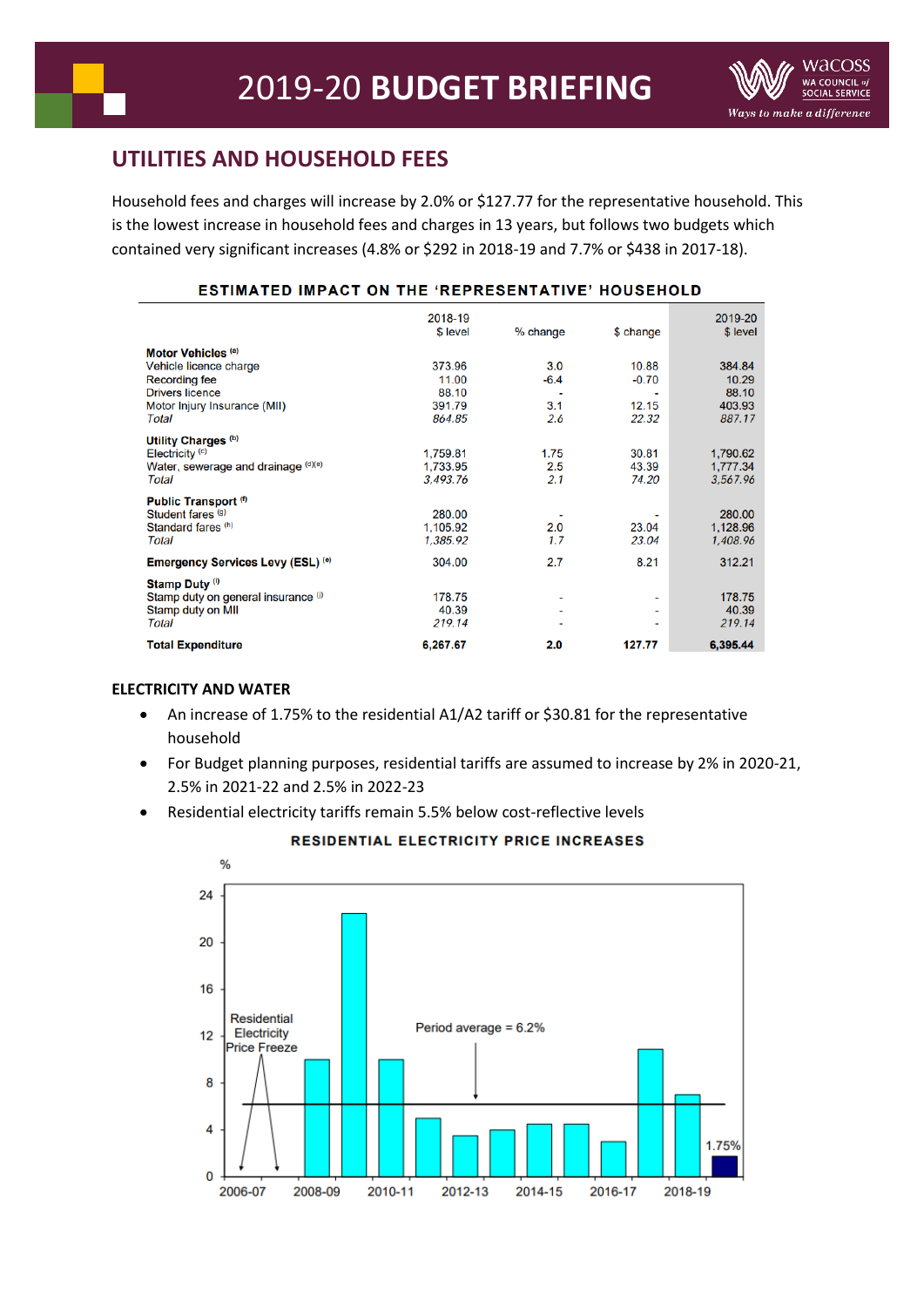# **UTILITIES AND HOUSEHOLD FEES**

Household fees and charges will increase by 2.0% or \$127.77 for the representative household. This is the lowest increase in household fees and charges in 13 years, but follows two budgets which contained very significant increases (4.8% or \$292 in 2018-19 and 7.7% or \$438 in 2017-18).

# ESTIMATED IMPACT ON THE 'REPRESENTATIVE' HOUSEHOLD

|                                                                 | 2018-19<br>\$ level | % change | \$ change | 2019-20<br>\$ level |
|-----------------------------------------------------------------|---------------------|----------|-----------|---------------------|
| Motor Vehicles <sup>(a)</sup>                                   |                     |          |           |                     |
| Vehicle licence charge                                          | 373.96              | 3.0      | 10.88     | 384.84              |
| <b>Recording fee</b>                                            | 11.00               | $-6.4$   | $-0.70$   | 10.29               |
| <b>Drivers licence</b>                                          | 88.10               | ٠        |           | 88.10               |
| Motor Injury Insurance (MII)                                    | 391.79              | 3.1      | 12.15     | 403.93              |
| Total                                                           | 864.85              | 2.6      | 22.32     | 887.17              |
|                                                                 |                     |          |           |                     |
| Utility Charges <sup>(b)</sup>                                  |                     |          |           |                     |
| Electricity <sup>(c)</sup>                                      | 1,759.81            | 1.75     | 30.81     | 1,790.62            |
| Water, sewerage and drainage (d)(e)                             | 1,733.95            | 2.5      | 43.39     | 1,777.34            |
| Total                                                           | 3,493.76            | 2.1      | 74.20     | 3,567.96            |
|                                                                 |                     |          |           |                     |
| Public Transport <sup>(f)</sup><br>Student fares <sup>(g)</sup> | 280.00              |          |           | 280.00              |
| Standard fares (h)                                              |                     |          | 23.04     |                     |
|                                                                 | 1,105.92            | 2.0      |           | 1,128.96            |
| Total                                                           | 1,385.92            | 1.7      | 23.04     | 1,408.96            |
| Emergency Services Levy (ESL) (e)                               | 304.00              | 2.7      | 8.21      | 312.21              |
| Stamp Duty <sup>(i)</sup>                                       |                     |          |           |                     |
| Stamp duty on general insurance (i)                             | 178.75              | ۰        |           | 178.75              |
| Stamp duty on MII                                               | 40.39               | ۰        |           | 40.39               |
| Total                                                           | 219.14              | ۰        |           | 219.14              |
|                                                                 |                     |          |           |                     |
| <b>Total Expenditure</b>                                        | 6,267.67            | 2.0      | 127.77    | 6,395.44            |

#### **ELECTRICITY AND WATER**

- An increase of 1.75% to the residential A1/A2 tariff or \$30.81 for the representative household
- For Budget planning purposes, residential tariffs are assumed to increase by 2% in 2020-21, 2.5% in 2021-22 and 2.5% in 2022-23
- Residential electricity tariffs remain 5.5% below cost-reflective levels